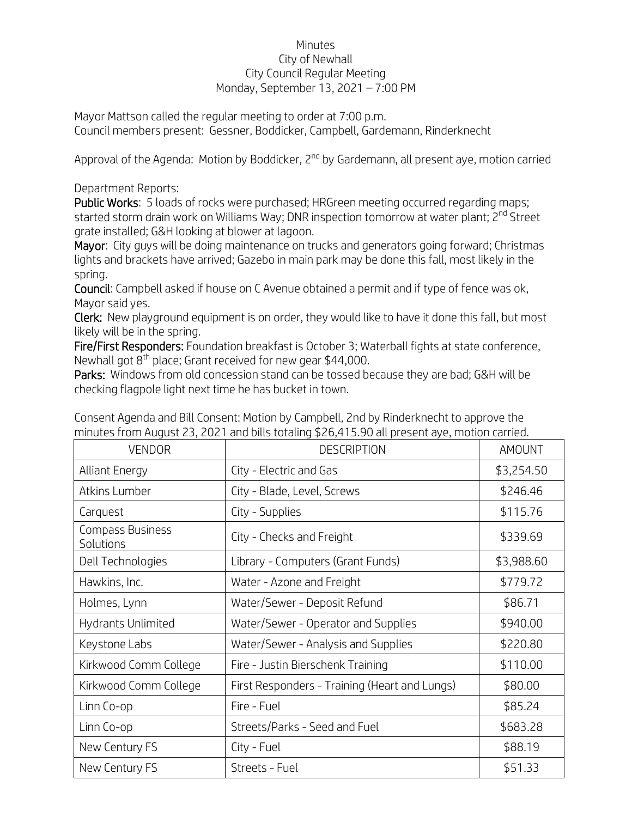## Minutes City of Newhall City Council Regular Meeting Monday, September 13, 2021 – 7:00 PM

Mayor Mattson called the regular meeting to order at 7:00 p.m. Council members present: Gessner, Boddicker, Campbell, Gardemann, Rinderknecht

Approval of the Agenda: Motion by Boddicker, 2<sup>nd</sup> by Gardemann, all present aye, motion carried

Department Reports:

Public Works: 5 loads of rocks were purchased; HRGreen meeting occurred regarding maps; started storm drain work on Williams Way: DNR inspection tomorrow at water plant: 2<sup>nd</sup> Street grate installed; G&H looking at blower at lagoon.

Mayor: City guys will be doing maintenance on trucks and generators going forward; Christmas lights and brackets have arrived; Gazebo in main park may be done this fall, most likely in the spring.

Council: Campbell asked if house on C Avenue obtained a permit and if type of fence was ok, Mayor said yes.

Clerk: New playground equipment is on order, they would like to have it done this fall, but most likely will be in the spring.

Fire/First Responders: Foundation breakfast is October 3; Waterball fights at state conference, Newhall got 8<sup>th</sup> place; Grant received for new gear \$44,000.

Parks: Windows from old concession stand can be tossed because they are bad; G&H will be checking flagpole light next time he has bucket in town.

| <b>VENDOR</b>                 | <b>DESCRIPTION</b>                            | <b>AMOUNT</b> |
|-------------------------------|-----------------------------------------------|---------------|
| <b>Alliant Energy</b>         | City - Electric and Gas                       | \$3,254.50    |
| Atkins Lumber                 | City - Blade, Level, Screws                   | \$246.46      |
| Carquest                      | City - Supplies                               | \$115.76      |
| Compass Business<br>Solutions | City - Checks and Freight                     | \$339.69      |
| Dell Technologies             | Library - Computers (Grant Funds)             | \$3,988.60    |
| Hawkins, Inc.                 | Water - Azone and Freight                     | \$779.72      |
| Holmes, Lynn                  | Water/Sewer - Deposit Refund                  | \$86.71       |
| Hydrants Unlimited            | Water/Sewer - Operator and Supplies           | \$940.00      |
| Keystone Labs                 | Water/Sewer - Analysis and Supplies           | \$220.80      |
| Kirkwood Comm College         | Fire - Justin Bierschenk Training             | \$110.00      |
| Kirkwood Comm College         | First Responders - Training (Heart and Lungs) | \$80.00       |
| Linn Co-op                    | Fire - Fuel                                   | \$85.24       |
| Linn Co-op                    | Streets/Parks - Seed and Fuel                 | \$683.28      |
| New Century FS                | City - Fuel                                   | \$88.19       |
| New Century FS                | Streets - Fuel                                | \$51.33       |

Consent Agenda and Bill Consent: Motion by Campbell, 2nd by Rinderknecht to approve the minutes from August 23, 2021 and bills totaling \$26,415.90 all present aye, motion carried.